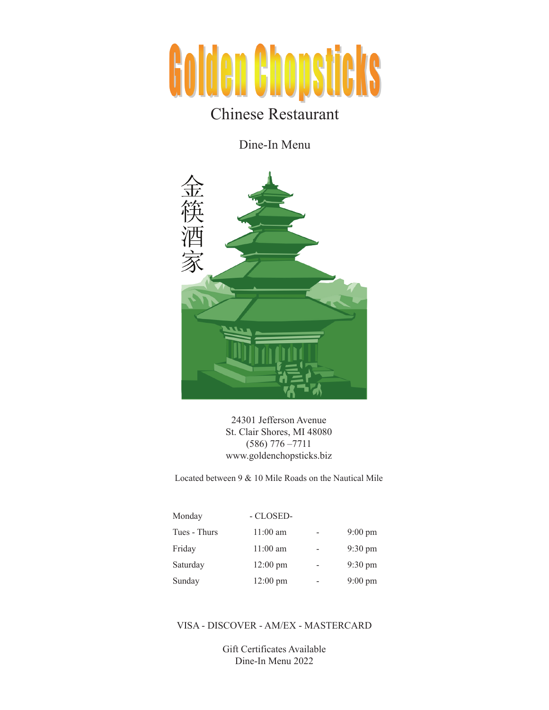# **Golden Chopsticks**

# Chinese Restaurant

Dine-In Menu



24301 Jefferson Avenue St. Clair Shores, MI 48080 (586) 776 –7711 www.goldenchopsticks.biz

Located between 9 & 10 Mile Roads on the Nautical Mile

| Monday       | - CLOSED-          |                   |
|--------------|--------------------|-------------------|
| Tues - Thurs | $11:00 \text{ am}$ | $9:00 \text{ pm}$ |
| Friday       | $11:00 \text{ am}$ | $9:30 \text{ pm}$ |
| Saturday     | $12:00 \text{ pm}$ | $9:30 \text{ pm}$ |
| Sunday       | $12:00 \text{ pm}$ | $9:00 \text{ pm}$ |

## VISA - DISCOVER - AM/EX - MASTERCARD

Gift Certificates Available Dine-In Menu 2022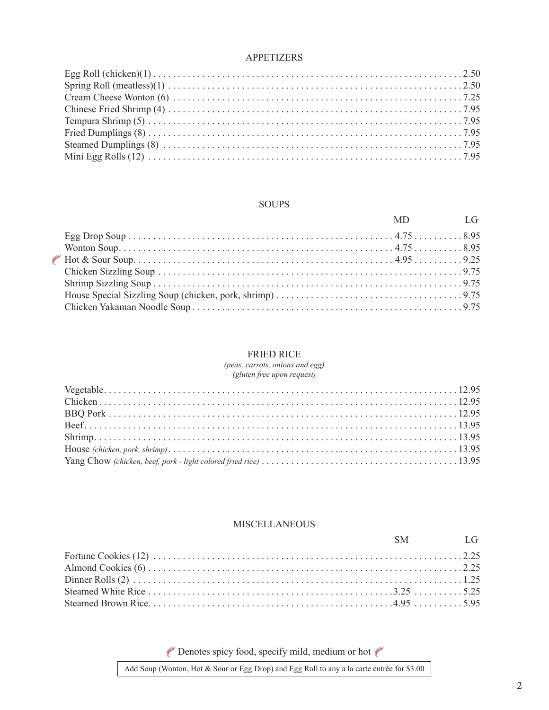#### APPETIZERS

#### SOUPS

|  | MD LG |  |
|--|-------|--|
|  |       |  |
|  |       |  |
|  |       |  |
|  |       |  |
|  |       |  |
|  |       |  |
|  |       |  |
|  |       |  |

#### FRIED RICE

*(peas, carrots, onions and egg) (gluten free upon request)*

#### **MISCELLANEOUS**

|  | SM LG |
|--|-------|
|  |       |
|  |       |
|  |       |
|  |       |
|  |       |

Denotes spicy food, specify mild, medium or hot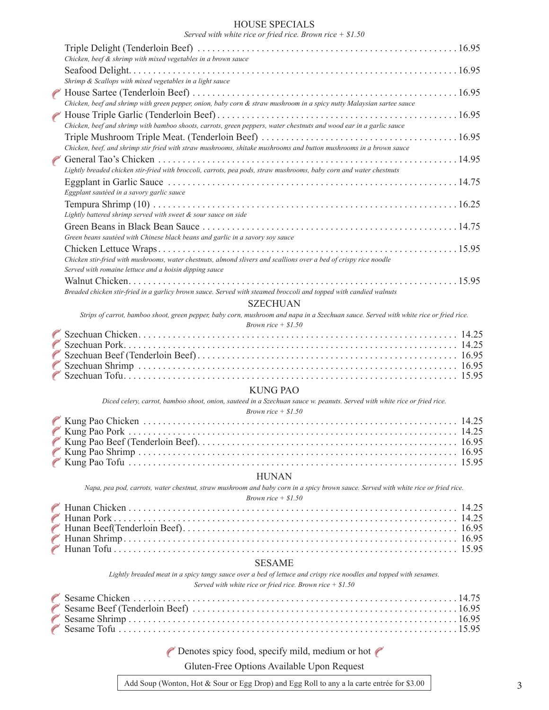#### HOUSE SPECIALS

*Served with white rice or fried rice. Brown rice + \$1.50*

| Chicken, beef $\&$ shrimp with mixed vegetables in a brown sauce                                                                      |
|---------------------------------------------------------------------------------------------------------------------------------------|
|                                                                                                                                       |
| Shrimp & Scallops with mixed vegetables in a light sauce                                                                              |
|                                                                                                                                       |
| Chicken, beef and shrimp with green pepper, onion, baby corn & straw mushroom in a spicy nutty Malaysian sartee sauce                 |
|                                                                                                                                       |
| Chicken, beef and shrimp with bamboo shoots, carrots, green peppers, water chestnuts and wood ear in a garlic sauce                   |
|                                                                                                                                       |
| Chicken, beef, and shrimp stir fried with straw mushrooms, shitake mushrooms and button mushrooms in a brown sauce                    |
|                                                                                                                                       |
| Lightly breaded chicken stir-fried with broccoli, carrots, pea pods, straw mushrooms, baby corn and water chestnuts                   |
|                                                                                                                                       |
| Eggplant sautéed in a savory garlic sauce                                                                                             |
|                                                                                                                                       |
| Lightly battered shrimp served with sweet & sour sauce on side                                                                        |
|                                                                                                                                       |
| Green beans sautéed with Chinese black beans and garlic in a savory soy sauce                                                         |
|                                                                                                                                       |
| Chicken stir-fried with mushrooms, water chestnuts, almond slivers and scallions over a bed of crispy rice noodle                     |
| Served with romaine lettuce and a hoisin dipping sauce                                                                                |
|                                                                                                                                       |
| Breaded chicken stir-fried in a garlicy brown sauce. Served with steamed broccoli and topped with candied walnuts                     |
| <b>SZECHUAN</b>                                                                                                                       |
| Strips of carrot, bamboo shoot, green pepper, baby corn, mushroom and napa in a Szechuan sauce. Served with white rice or fried rice. |
| Brown rice $+$ \$1.50                                                                                                                 |

#### KUNG PAO

*Diced celery, carrot, bamboo shoot, onion, sauteed in a Szechuan sauce w. peanuts. Served with white rice or fried rice.* 

| <i>Brown rice</i> $+ $1.50$ |  |
|-----------------------------|--|
|                             |  |
|                             |  |
|                             |  |
|                             |  |
|                             |  |

#### HUNAN

*Napa, pea pod, carrots, water chestnut, straw mushroom and baby corn in a spicy brown sauce. Served with white rice or fried rice. Brown rice + \$1.50*

# SESAME

*Lightly breaded meat in a spicy tangy sauce over a bed of lettuce and crispy rice noodles and topped with sesames. Served with white rice or fried rice. Brown rice + \$1.50*

P Denotes spicy food, specify mild, medium or hot P

Gluten-Free Options Available Upon Request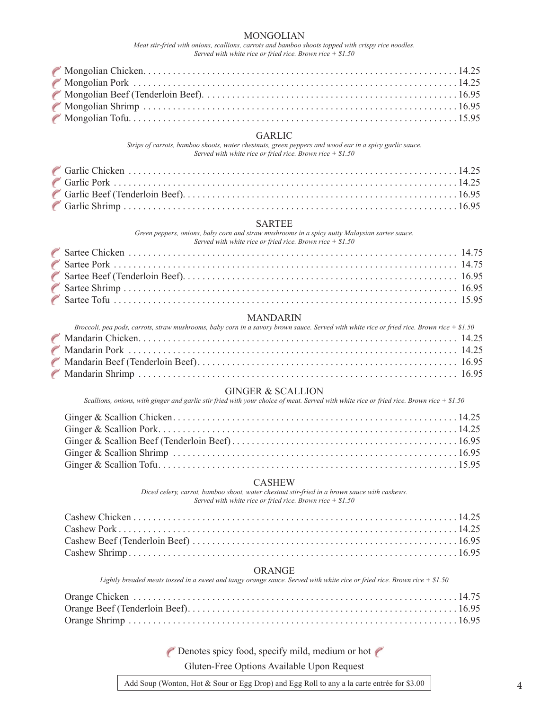#### MONGOLIAN

*Meat stir-fried with onions, scallions, carrots and bamboo shoots topped with crispy rice noodles. Served with white rice or fried rice. Brown rice + \$1.50*

#### GARLIC

*Strips of carrots, bamboo shoots, water chestnuts, green peppers and wood ear in a spicy garlic sauce. Served with white rice or fried rice. Brown rice + \$1.50*

#### SARTEE

*Green peppers, onions, baby corn and straw mushrooms in a spicy nutty Malaysian sartee sauce. Served with white rice or fried rice. Brown rice + \$1.50*

| $\sigma$ bet real with while the $\sigma$ filed the Drown file $\sigma$ single |  |
|--------------------------------------------------------------------------------|--|
|                                                                                |  |
|                                                                                |  |
|                                                                                |  |
|                                                                                |  |
|                                                                                |  |

#### MANDARIN

| Broccoli, pea pods, carrots, straw mushrooms, baby corn in a savory brown sauce. Served with white rice or fried rice. Brown rice $+ $1.50$ |  |
|---------------------------------------------------------------------------------------------------------------------------------------------|--|
|                                                                                                                                             |  |
|                                                                                                                                             |  |
|                                                                                                                                             |  |
|                                                                                                                                             |  |

#### GINGER & SCALLION

*Scallions, onions, with ginger and garlic stir fried with your choice of meat. Served with white rice or fried rice. Brown rice + \$1.50*

#### CASHEW

*Diced celery, carrot, bamboo shoot, water chestnut stir-fried in a brown sauce with cashews. Served with white rice or fried rice. Brown rice + \$1.50*

#### ORANGE

*Lightly breaded meats tossed in a sweet and tangy orange sauce. Served with white rice or fried rice. Brown rice + \$1.50*

P Denotes spicy food, specify mild, medium or hot P

Gluten-Free Options Available Upon Request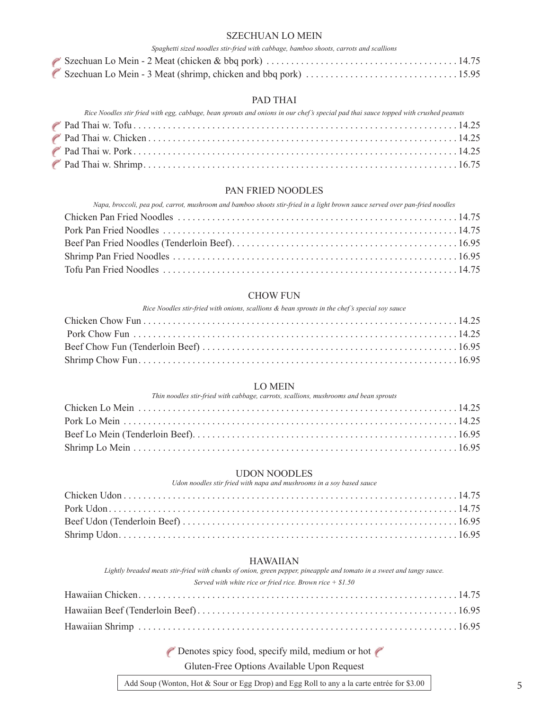#### SZECHUAN LO MEIN

| Spaghetti sized noodles stir-fried with cabbage, bamboo shoots, carrots and scallions |  |
|---------------------------------------------------------------------------------------|--|
|                                                                                       |  |
|                                                                                       |  |

#### PAD THAI

| Rice Noodles stir fried with egg, cabbage, bean sprouts and onions in our chef's special pad thai sauce topped with crushed peanuts |  |
|-------------------------------------------------------------------------------------------------------------------------------------|--|
|                                                                                                                                     |  |
|                                                                                                                                     |  |
|                                                                                                                                     |  |
|                                                                                                                                     |  |

#### PAN FRIED NOODLES

| Napa, broccoli, pea pod, carrot, mushroom and bamboo shoots stir-fried in a light brown sauce served over pan-fried noodles |  |
|-----------------------------------------------------------------------------------------------------------------------------|--|
|                                                                                                                             |  |
|                                                                                                                             |  |
|                                                                                                                             |  |
|                                                                                                                             |  |
|                                                                                                                             |  |

#### CHOW FUN

*Rice Noodles stir-fried with onions, scallions & bean sprouts in the chef's special soy sauce*

#### LO MEIN

*Thin noodles stir-fried with cabbage, carrots, scallions, mushrooms and bean sprouts*

#### UDON NOODLES

*Udon noodles stir fried with napa and mushrooms in a soy based sauce*

#### HAWAIIAN

*Lightly breaded meats stir-fried with chunks of onion, green pepper, pineapple and tomato in a sweet and tangy sauce. Served with white rice or fried rice. Brown rice + \$1.50*

P Denotes spicy food, specify mild, medium or hot P

Gluten-Free Options Available Upon Request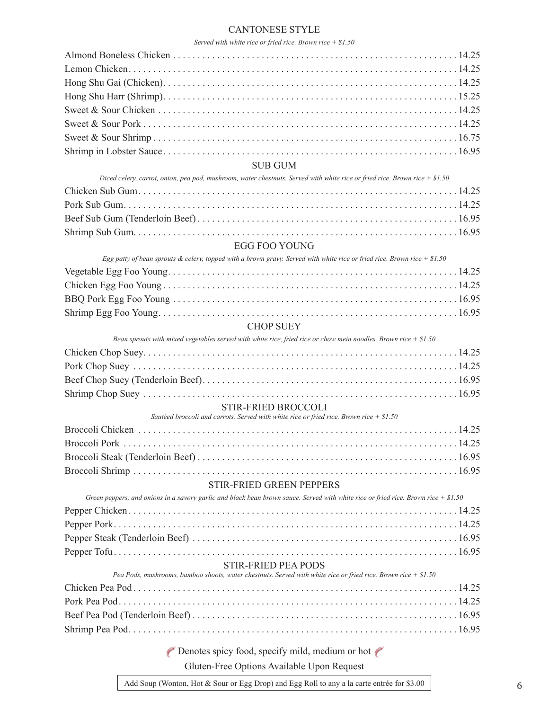# CANTONESE STYLE

#### *Served with white rice or fried rice. Brown rice + \$1.50*

| <b>SUB GUM</b>                                                                                                                       |  |
|--------------------------------------------------------------------------------------------------------------------------------------|--|
| Diced celery, carrot, onion, pea pod, mushroom, water chestnuts. Served with white rice or fried rice. Brown rice $+$ \$1.50         |  |
|                                                                                                                                      |  |
|                                                                                                                                      |  |
|                                                                                                                                      |  |
|                                                                                                                                      |  |
| EGG FOO YOUNG                                                                                                                        |  |
| Egg patty of bean sprouts & celery, topped with a brown gravy. Served with white rice or fried rice. Brown rice + \$1.50             |  |
|                                                                                                                                      |  |
|                                                                                                                                      |  |
|                                                                                                                                      |  |
|                                                                                                                                      |  |
| <b>CHOP SUEY</b><br>Bean sprouts with mixed vegetables served with white rice, fried rice or chow mein noodles. Brown rice $+ $1.50$ |  |
|                                                                                                                                      |  |
|                                                                                                                                      |  |
|                                                                                                                                      |  |
|                                                                                                                                      |  |
| <b>STIR-FRIED BROCCOLI</b>                                                                                                           |  |
| Sautéed broccoli and carrots. Served with white rice or fried rice. Brown rice $+ $1.50$                                             |  |
|                                                                                                                                      |  |
|                                                                                                                                      |  |
|                                                                                                                                      |  |
|                                                                                                                                      |  |
| STIR-FRIED GREEN PEPPERS                                                                                                             |  |
| Green peppers, and onions in a savory garlic and black bean brown sauce. Served with white rice or fried rice. Brown rice $+ $1.50$  |  |
|                                                                                                                                      |  |
|                                                                                                                                      |  |
|                                                                                                                                      |  |
|                                                                                                                                      |  |
| <b>STIR-FRIED PEA PODS</b>                                                                                                           |  |
| Pea Pods, mushrooms, bamboo shoots, water chestnuts. Served with white rice or fried rice. Brown rice + $$1.50$                      |  |
|                                                                                                                                      |  |
|                                                                                                                                      |  |
|                                                                                                                                      |  |
|                                                                                                                                      |  |
| Denotes spicy food, specify mild, medium or hot                                                                                      |  |
|                                                                                                                                      |  |

Gluten-Free Options Available Upon Request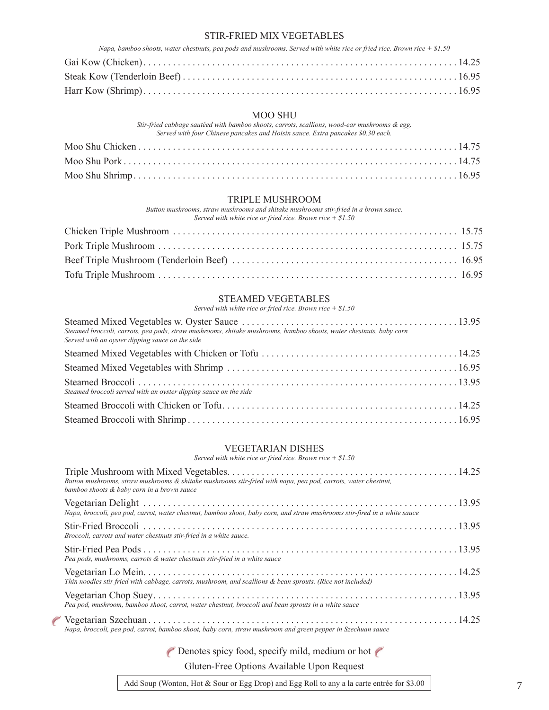#### STIR-FRIED MIX VEGETABLES

| Napa, bamboo shoots, water chestnuts, pea pods and mushrooms. Served with white rice or fried rice. Brown rice $+ $1.50$ |
|--------------------------------------------------------------------------------------------------------------------------|
|                                                                                                                          |
|                                                                                                                          |
|                                                                                                                          |

#### MOO SHU

*Stir-fried cabbage sautéed with bamboo shoots, carrots, scallions, wood-ear mushrooms & egg. Served with four Chinese pancakes and Hoisin sauce. Extra pancakes \$0.30 each.*

#### TRIPLE MUSHROOM

*Button mushrooms, straw mushrooms and shitake mushrooms stir-fried in a brown sauce. Served with white rice or fried rice. Brown rice + \$1.50*

# STEAMED VEGETABLES

| Served with white rice or fried rice. Brown rice $+ $1.50$                                                                                                            |  |
|-----------------------------------------------------------------------------------------------------------------------------------------------------------------------|--|
| Steamed broccoli, carrots, pea pods, straw mushrooms, shitake mushrooms, bamboo shoots, water chestnuts, baby corn<br>Served with an oyster dipping sauce on the side |  |
|                                                                                                                                                                       |  |
|                                                                                                                                                                       |  |
| Steamed broccoli served with an oyster dipping sauce on the side                                                                                                      |  |
|                                                                                                                                                                       |  |
|                                                                                                                                                                       |  |

#### VEGETARIAN DISHES

*Served with white rice or fried rice. Brown rice + \$1.50*

| Bution mushrooms, straw mushrooms & shitake mushrooms stir-fried with napa, pea pod, carrots, water chestnut,<br>bamboo shoots & baby corn in a brown sauce |  |
|-------------------------------------------------------------------------------------------------------------------------------------------------------------|--|
| Napa, broccoli, pea pod, carrot, water chestnut, bamboo shoot, baby corn, and straw mushrooms stir-fired in a white sauce                                   |  |
| Broccoli, carrots and water chestnuts stir-fried in a white sauce.                                                                                          |  |
| Pea pods, mushrooms, carrots & water chestnuts stir-fried in a white sauce                                                                                  |  |
| Thin noodles stir fried with cabbage, carrots, mushroom, and scallions & bean sprouts. (Rice not included)                                                  |  |
| Pea pod, mushroom, bamboo shoot, carrot, water chestnut, broccoli and bean sprouts in a white sauce                                                         |  |
| Napa, broccoli, pea pod, carrot, bamboo shoot, baby corn, straw mushroom and green pepper in Szechuan sauce                                                 |  |

P Denotes spicy food, specify mild, medium or hot P

County of Children

Gluten-Free Options Available Upon Request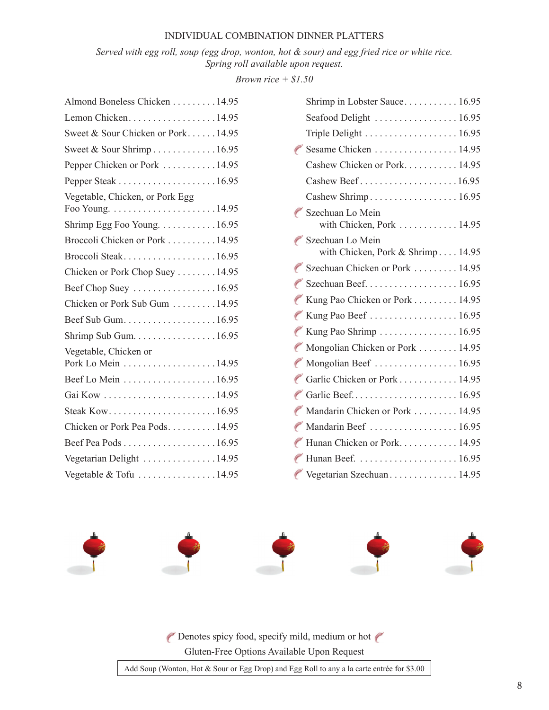#### INDIVIDUAL COMBINATION DINNER PLATTERS

*Served with egg roll, soup (egg drop, wonton, hot & sour) and egg fried rice or white rice. Spring roll available upon request.*

*Brown rice + \$1.50*

| Almond Boneless Chicken 14.95               |
|---------------------------------------------|
| Lemon Chicken. 14.95                        |
| Sweet & Sour Chicken or Pork14.95           |
| Sweet & Sour Shrimp16.95                    |
| Pepper Chicken or Pork  14.95               |
|                                             |
| Vegetable, Chicken, or Pork Egg             |
| Shrimp Egg Foo Young. 16.95                 |
| Broccoli Chicken or Pork 14.95              |
| Broccoli Steak16.95                         |
| Chicken or Pork Chop Suey 14.95             |
| Beef Chop Suey 16.95                        |
| Chicken or Pork Sub Gum 14.95               |
| Beef Sub Gum16.95                           |
| Shrimp Sub Gum. 16.95                       |
| Vegetable, Chicken or<br>Pork Lo Mein 14.95 |
| Beef Lo Mein 16.95                          |
|                                             |
|                                             |
| Chicken or Pork Pea Pods14.95               |
| Beef Pea Pods 16.95                         |
| Vegetarian Delight 14.95                    |
| Vegetable & Tofu 14.95                      |

|                                 | Shrimp in Lobster Sauce 16.95                                    |
|---------------------------------|------------------------------------------------------------------|
|                                 | Seafood Delight  16.95                                           |
|                                 | Triple Delight $\ldots \ldots \ldots \ldots \ldots \ldots 16.95$ |
|                                 | $\epsilon$ Sesame Chicken 14.95                                  |
|                                 | Cashew Chicken or Pork. 14.95                                    |
|                                 | Cashew Beef16.95                                                 |
|                                 |                                                                  |
|                                 | Szechuan Lo Mein<br>with Chicken, Pork  14.95                    |
|                                 | Szechuan Lo Mein<br>with Chicken, Pork & Shrimp 14.95            |
|                                 | Szechuan Chicken or Pork  14.95                                  |
|                                 | Szechuan Beef16.95                                               |
|                                 | Kung Pao Chicken or Pork 14.95                                   |
| Contraction                     | Kung Pao Beef  16.95                                             |
| <b>Contract Contract</b>        | Kung Pao Shrimp 16.95                                            |
| <b>County</b>                   | Mongolian Chicken or Pork 14.95                                  |
|                                 | Mongolian Beef  16.95                                            |
|                                 | Garlic Chicken or Pork 14.95                                     |
|                                 |                                                                  |
|                                 | Mandarin Chicken or Pork 14.95                                   |
|                                 | Mandarin Beef  16.95                                             |
| <b>County</b>                   | Hunan Chicken or Pork 14.95                                      |
| County of the Local Division in |                                                                  |
|                                 | Vegetarian Szechuan 14.95                                        |



P Denotes spicy food, specify mild, medium or hot Gluten-Free Options Available Upon Request